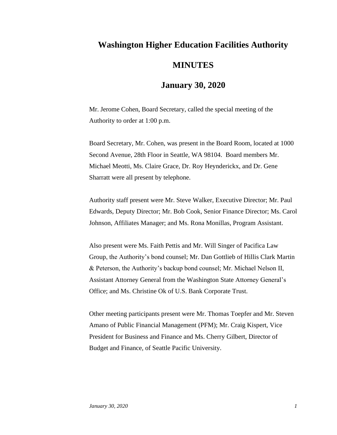## **Washington Higher Education Facilities Authority MINUTES**

## **January 30, 2020**

Mr. Jerome Cohen, Board Secretary, called the special meeting of the Authority to order at 1:00 p.m.

Board Secretary, Mr. Cohen, was present in the Board Room, located at 1000 Second Avenue, 28th Floor in Seattle, WA 98104. Board members Mr. Michael Meotti, Ms. Claire Grace, Dr. Roy Heynderickx, and Dr. Gene Sharratt were all present by telephone.

Authority staff present were Mr. Steve Walker, Executive Director; Mr. Paul Edwards, Deputy Director; Mr. Bob Cook, Senior Finance Director; Ms. Carol Johnson, Affiliates Manager; and Ms. Rona Monillas, Program Assistant.

Also present were Ms. Faith Pettis and Mr. Will Singer of Pacifica Law Group, the Authority's bond counsel; Mr. Dan Gottlieb of Hillis Clark Martin & Peterson, the Authority's backup bond counsel; Mr. Michael Nelson II, Assistant Attorney General from the Washington State Attorney General's Office; and Ms. Christine Ok of U.S. Bank Corporate Trust.

Other meeting participants present were Mr. Thomas Toepfer and Mr. Steven Amano of Public Financial Management (PFM); Mr. Craig Kispert, Vice President for Business and Finance and Ms. Cherry Gilbert, Director of Budget and Finance, of Seattle Pacific University.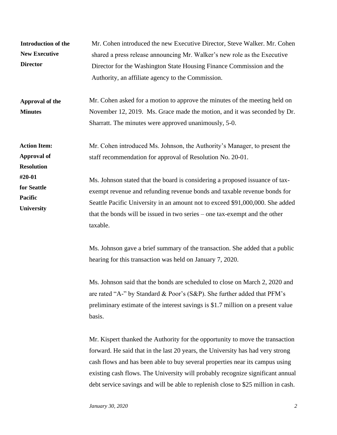| Introduction of the<br><b>New Executive</b><br><b>Director</b><br>Approval of the<br><b>Minutes</b>              | Mr. Cohen introduced the new Executive Director, Steve Walker. Mr. Cohen<br>shared a press release announcing Mr. Walker's new role as the Executive<br>Director for the Washington State Housing Finance Commission and the<br>Authority, an affiliate agency to the Commission.<br>Mr. Cohen asked for a motion to approve the minutes of the meeting held on<br>November 12, 2019. Ms. Grace made the motion, and it was seconded by Dr.<br>Sharratt. The minutes were approved unanimously, 5-0.                                                                                                                                                                                                                                   |
|------------------------------------------------------------------------------------------------------------------|----------------------------------------------------------------------------------------------------------------------------------------------------------------------------------------------------------------------------------------------------------------------------------------------------------------------------------------------------------------------------------------------------------------------------------------------------------------------------------------------------------------------------------------------------------------------------------------------------------------------------------------------------------------------------------------------------------------------------------------|
| <b>Action Item:</b><br><b>Approval of</b><br><b>Resolution</b><br>#20-01<br>for Seattle<br>Pacific<br>University | Mr. Cohen introduced Ms. Johnson, the Authority's Manager, to present the<br>staff recommendation for approval of Resolution No. 20-01.<br>Ms. Johnson stated that the board is considering a proposed issuance of tax-<br>exempt revenue and refunding revenue bonds and taxable revenue bonds for<br>Seattle Pacific University in an amount not to exceed \$91,000,000. She added<br>that the bonds will be issued in two series – one tax-exempt and the other<br>taxable.                                                                                                                                                                                                                                                         |
|                                                                                                                  | Ms. Johnson gave a brief summary of the transaction. She added that a public<br>hearing for this transaction was held on January 7, 2020.<br>Ms. Johnson said that the bonds are scheduled to close on March 2, 2020 and<br>are rated "A-" by Standard & Poor's (S&P). She further added that PFM's<br>preliminary estimate of the interest savings is \$1.7 million on a present value<br>basis.<br>Mr. Kispert thanked the Authority for the opportunity to move the transaction<br>forward. He said that in the last 20 years, the University has had very strong<br>cash flows and has been able to buy several properties near its campus using<br>existing cash flows. The University will probably recognize significant annual |

debt service savings and will be able to replenish close to \$25 million in cash.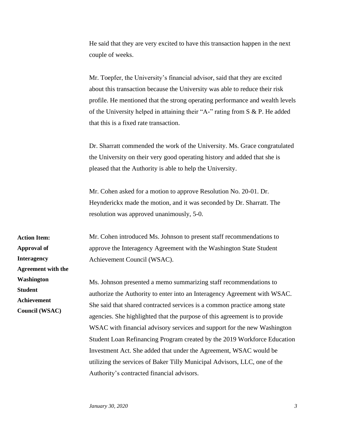He said that they are very excited to have this transaction happen in the next couple of weeks.

Mr. Toepfer, the University's financial advisor, said that they are excited about this transaction because the University was able to reduce their risk profile. He mentioned that the strong operating performance and wealth levels of the University helped in attaining their "A-" rating from S & P. He added that this is a fixed rate transaction.

Dr. Sharratt commended the work of the University. Ms. Grace congratulated the University on their very good operating history and added that she is pleased that the Authority is able to help the University.

Mr. Cohen asked for a motion to approve Resolution No. 20-01. Dr. Heynderickx made the motion, and it was seconded by Dr. Sharratt. The resolution was approved unanimously, 5-0.

Mr. Cohen introduced Ms. Johnson to present staff recommendations to approve the Interagency Agreement with the Washington State Student Achievement Council (WSAC).

Ms. Johnson presented a memo summarizing staff recommendations to authorize the Authority to enter into an Interagency Agreement with WSAC. She said that shared contracted services is a common practice among state agencies. She highlighted that the purpose of this agreement is to provide WSAC with financial advisory services and support for the new Washington Student Loan Refinancing Program created by the 2019 Workforce Education Investment Act. She added that under the Agreement, WSAC would be utilizing the services of Baker Tilly Municipal Advisors, LLC, one of the Authority's contracted financial advisors.

**Action Item: Approval of Interagency Agreement with the Washington Student Achievement Council (WSAC)**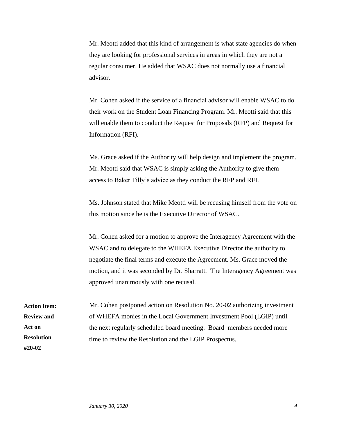Mr. Meotti added that this kind of arrangement is what state agencies do when they are looking for professional services in areas in which they are not a regular consumer. He added that WSAC does not normally use a financial advisor.

Mr. Cohen asked if the service of a financial advisor will enable WSAC to do their work on the Student Loan Financing Program. Mr. Meotti said that this will enable them to conduct the Request for Proposals (RFP) and Request for Information (RFI).

Ms. Grace asked if the Authority will help design and implement the program. Mr. Meotti said that WSAC is simply asking the Authority to give them access to Baker Tilly's advice as they conduct the RFP and RFI.

Ms. Johnson stated that Mike Meotti will be recusing himself from the vote on this motion since he is the Executive Director of WSAC.

Mr. Cohen asked for a motion to approve the Interagency Agreement with the WSAC and to delegate to the WHEFA Executive Director the authority to negotiate the final terms and execute the Agreement. Ms. Grace moved the motion, and it was seconded by Dr. Sharratt. The Interagency Agreement was approved unanimously with one recusal.

Mr. Cohen postponed action on Resolution No. 20-02 authorizing investment of WHEFA monies in the Local Government Investment Pool (LGIP) until the next regularly scheduled board meeting. Board members needed more time to review the Resolution and the LGIP Prospectus. **Action Item: Review and Act on Resolution #20-02**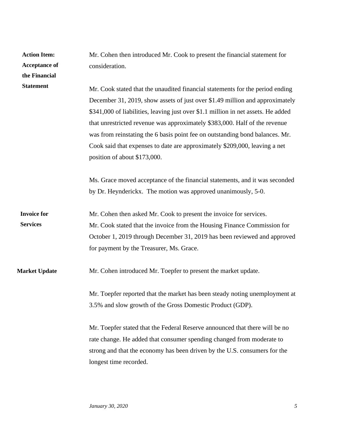| <b>Action Item:</b><br><b>Acceptance of</b><br>the Financial | Mr. Cohen then introduced Mr. Cook to present the financial statement for<br>consideration.                                                                                                                                                                                                                                                                                                                                                                                                                                    |
|--------------------------------------------------------------|--------------------------------------------------------------------------------------------------------------------------------------------------------------------------------------------------------------------------------------------------------------------------------------------------------------------------------------------------------------------------------------------------------------------------------------------------------------------------------------------------------------------------------|
| <b>Statement</b>                                             | Mr. Cook stated that the unaudited financial statements for the period ending<br>December 31, 2019, show assets of just over \$1.49 million and approximately<br>\$341,000 of liabilities, leaving just over \$1.1 million in net assets. He added<br>that unrestricted revenue was approximately \$383,000. Half of the revenue<br>was from reinstating the 6 basis point fee on outstanding bond balances. Mr.<br>Cook said that expenses to date are approximately \$209,000, leaving a net<br>position of about \$173,000. |
|                                                              | Ms. Grace moved acceptance of the financial statements, and it was seconded<br>by Dr. Heynderickx. The motion was approved unanimously, 5-0.                                                                                                                                                                                                                                                                                                                                                                                   |
| <b>Invoice for</b><br><b>Services</b>                        | Mr. Cohen then asked Mr. Cook to present the invoice for services.<br>Mr. Cook stated that the invoice from the Housing Finance Commission for<br>October 1, 2019 through December 31, 2019 has been reviewed and approved<br>for payment by the Treasurer, Ms. Grace.                                                                                                                                                                                                                                                         |
| <b>Market Update</b>                                         | Mr. Cohen introduced Mr. Toepfer to present the market update.                                                                                                                                                                                                                                                                                                                                                                                                                                                                 |
|                                                              | Mr. Toepfer reported that the market has been steady noting unemployment at<br>3.5% and slow growth of the Gross Domestic Product (GDP).                                                                                                                                                                                                                                                                                                                                                                                       |
|                                                              | Mr. Toepfer stated that the Federal Reserve announced that there will be no<br>rate change. He added that consumer spending changed from moderate to<br>strong and that the economy has been driven by the U.S. consumers for the<br>longest time recorded.                                                                                                                                                                                                                                                                    |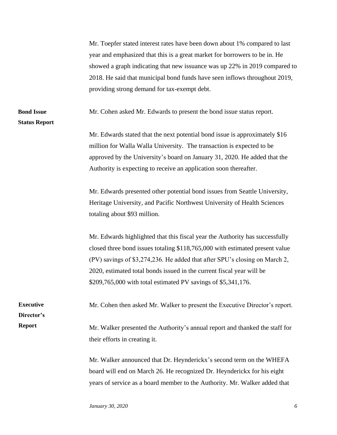|                                           | Mr. Toepfer stated interest rates have been down about 1% compared to last<br>year and emphasized that this is a great market for borrowers to be in. He |
|-------------------------------------------|----------------------------------------------------------------------------------------------------------------------------------------------------------|
|                                           | showed a graph indicating that new issuance was up 22% in 2019 compared to                                                                               |
|                                           | 2018. He said that municipal bond funds have seen inflows throughout 2019,                                                                               |
|                                           | providing strong demand for tax-exempt debt.                                                                                                             |
| <b>Bond Issue</b><br><b>Status Report</b> | Mr. Cohen asked Mr. Edwards to present the bond issue status report.                                                                                     |
|                                           | Mr. Edwards stated that the next potential bond issue is approximately \$16                                                                              |
|                                           | million for Walla Walla University. The transaction is expected to be                                                                                    |
|                                           | approved by the University's board on January 31, 2020. He added that the                                                                                |
|                                           | Authority is expecting to receive an application soon thereafter.                                                                                        |
|                                           | Mr. Edwards presented other potential bond issues from Seattle University,                                                                               |
|                                           | Heritage University, and Pacific Northwest University of Health Sciences                                                                                 |
|                                           | totaling about \$93 million.                                                                                                                             |
|                                           | Mr. Edwards highlighted that this fiscal year the Authority has successfully                                                                             |
|                                           | closed three bond issues totaling \$118,765,000 with estimated present value                                                                             |
|                                           | (PV) savings of \$3,274,236. He added that after SPU's closing on March 2,                                                                               |
|                                           | 2020, estimated total bonds issued in the current fiscal year will be                                                                                    |
|                                           | \$209,765,000 with total estimated PV savings of \$5,341,176.                                                                                            |
| <b>Executive</b><br>Director's            | Mr. Cohen then asked Mr. Walker to present the Executive Director's report.                                                                              |
| <b>Report</b>                             | Mr. Walker presented the Authority's annual report and thanked the staff for                                                                             |
|                                           | their efforts in creating it.                                                                                                                            |
|                                           | Mr. Walker announced that Dr. Heynderickx's second term on the WHEFA                                                                                     |
|                                           | board will end on March 26. He recognized Dr. Heynderickx for his eight                                                                                  |
|                                           | years of service as a board member to the Authority. Mr. Walker added that                                                                               |